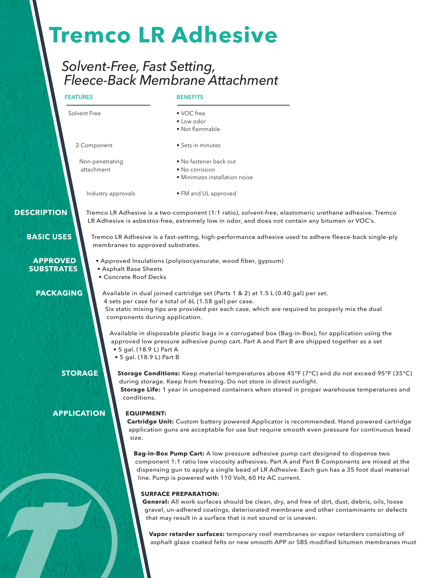# **Tremco LR Adhesive**

# *Solvent-Free, Fast Setting, Fleece-Back Membrane Attachment*

## **FEATURES**

### **BENEFITS**

| Solvent Free                         |                                                      | • VOC free                                                                                                                                                                                                                                                                                                                             |
|--------------------------------------|------------------------------------------------------|----------------------------------------------------------------------------------------------------------------------------------------------------------------------------------------------------------------------------------------------------------------------------------------------------------------------------------------|
|                                      |                                                      | • Low odor                                                                                                                                                                                                                                                                                                                             |
|                                      |                                                      | · Not flammable                                                                                                                                                                                                                                                                                                                        |
| 2-Component                          |                                                      | • Sets in minutes                                                                                                                                                                                                                                                                                                                      |
| Non-penetrating<br>attachment        |                                                      | • No fastener back out                                                                                                                                                                                                                                                                                                                 |
|                                      |                                                      | • No corrosion                                                                                                                                                                                                                                                                                                                         |
|                                      |                                                      | · Minimizes installation noise                                                                                                                                                                                                                                                                                                         |
|                                      | Industry approvals                                   | • FM and UL approved                                                                                                                                                                                                                                                                                                                   |
| <b>DESCRIPTION</b>                   |                                                      | Tremco LR Adhesive is a two-component (1:1 ratio), solvent-free, elastomeric urethane adhesive. Tremco<br>LR Adhesive is asbestos-free, extremely low in odor, and does not contain any bitumen or VOC's.                                                                                                                              |
| <b>BASIC USES</b>                    | membranes to approved substrates.                    | Tremco LR Adhesive is a fast-setting, high-performance adhesive used to adhere fleece-back single-ply                                                                                                                                                                                                                                  |
| <b>APPROVED</b><br><b>SUBSTRATES</b> | • Asphalt Base Sheets<br>• Concrete Roof Decks       | • Approved Insulations (polyisocyanurate, wood fiber, gypsum)                                                                                                                                                                                                                                                                          |
| <b>PACKAGING</b>                     |                                                      | Available in dual joined cartridge set (Parts 1 & 2) at 1.5 L (0.40 gal) per set.<br>4 sets per case for a total of 6L (1.58 gal) per case.                                                                                                                                                                                            |
|                                      | components during application.                       | Six static mixing tips are provided per each case, which are required to properly mix the dual                                                                                                                                                                                                                                         |
|                                      | • 5 gal. (18.9 L) Part A<br>• 5 gal. (18.9 L) Part B | Available in disposable plastic bags in a corrugated box (Bag-in-Box), for application using the<br>approved low pressure adhesive pump cart. Part A and Part B are shipped together as a set                                                                                                                                          |
| <b>STORAGE</b>                       | conditions.                                          | Storage Conditions: Keep material temperatures above 45°F (7°C) and do not exceed 95°F (35°C)<br>during storage. Keep from freezing. Do not store in direct sunlight.<br>Storage Life: 1 year in unopened containers when stored in proper warehouse temperatures and                                                                  |
| <b>APPLICATION</b>                   | <b>EQUIPMENT:</b><br>size.                           | Cartridge Unit: Custom battery powered Applicator is recommended. Hand powered cartridge<br>application guns are acceptable for use but require smooth even pressure for continuous bead                                                                                                                                               |
|                                      |                                                      | Bag-in-Box Pump Cart: A low pressure adhesive pump cart designed to dispense two<br>component 1:1 ratio low viscosity adhesives. Part A and Part B Components are mixed at the<br>dispensing gun to apply a single bead of LR Adhesive. Each gun has a 35 foot dual material<br>line. Pump is powered with 110 Volt, 60 Hz AC current. |
|                                      |                                                      | <b>SURFACE PREPARATION:</b>                                                                                                                                                                                                                                                                                                            |
|                                      |                                                      | General: All work surfaces should be clean, dry, and free of dirt, dust, debris, oils, loose                                                                                                                                                                                                                                           |
|                                      |                                                      | gravel, un-adhered coatings, deteriorated membrane and other contaminants or defects<br>that may result in a surface that is not sound or is uneven.                                                                                                                                                                                   |
|                                      |                                                      | Vapor retarder surfaces: temporary roof membranes or vapor retarders consisting of<br>asphalt glaze coated felts or new smooth APP or SBS modified bitumen membranes must                                                                                                                                                              |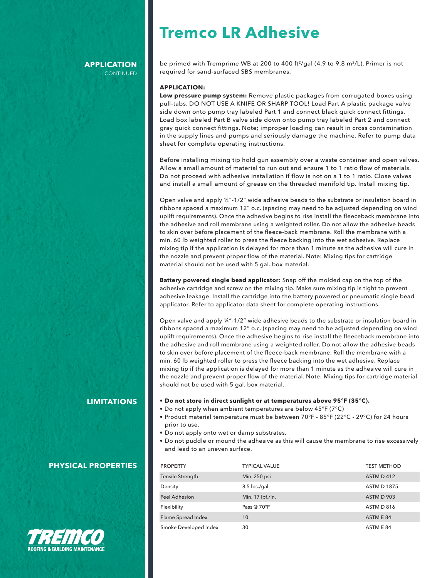# **Tremco LR Adhesive**

#### **APPLICATION CONTINUED**

be primed with Tremprime WB at 200 to 400 ft<sup>2</sup>/gal (4.9 to 9.8 m<sup>2</sup>/L). Primer is not required for sand-surfaced SBS membranes.

#### **APPLICATION:**

**Low pressure pump system:** Remove plastic packages from corrugated boxes using pull-tabs. DO NOT USE A KNIFE OR SHARP TOOL! Load Part A plastic package valve side down onto pump tray labeled Part 1 and connect black quick connect fittings. Load box labeled Part B valve side down onto pump tray labeled Part 2 and connect gray quick connect fittings. Note; improper loading can result in cross contamination in the supply lines and pumps and seriously damage the machine. Refer to pump data sheet for complete operating instructions.

Before installing mixing tip hold gun assembly over a waste container and open valves. Allow a small amount of material to run out and ensure 1 to 1 ratio flow of materials. Do not proceed with adhesive installation if flow is not on a 1 to 1 ratio. Close valves and install a small amount of grease on the threaded manifold tip. Install mixing tip.

Open valve and apply ¼"-1/2" wide adhesive beads to the substrate or insulation board in ribbons spaced a maximum 12" o.c. (spacing may need to be adjusted depending on wind uplift requirements). Once the adhesive begins to rise install the fleeceback membrane into the adhesive and roll membrane using a weighted roller. Do not allow the adhesive beads to skin over before placement of the fleece-back membrane. Roll the membrane with a min. 60 lb weighted roller to press the fleece backing into the wet adhesive. Replace mixing tip if the application is delayed for more than 1 minute as the adhesive will cure in the nozzle and prevent proper flow of the material. Note: Mixing tips for cartridge material should not be used with 5 gal. box material.

**Battery powered single bead applicator:** Snap off the molded cap on the top of the adhesive cartridge and screw on the mixing tip. Make sure mixing tip is tight to prevent adhesive leakage. Install the cartridge into the battery powered or pneumatic single bead applicator. Refer to applicator data sheet for complete operating instructions.

Open valve and apply ¼"-1/2" wide adhesive beads to the substrate or insulation board in ribbons spaced a maximum 12" o.c. (spacing may need to be adjusted depending on wind uplift requirements). Once the adhesive begins to rise install the fleeceback membrane into the adhesive and roll membrane using a weighted roller. Do not allow the adhesive beads to skin over before placement of the fleece-back membrane. Roll the membrane with a min. 60 lb weighted roller to press the fleece backing into the wet adhesive. Replace mixing tip if the application is delayed for more than 1 minute as the adhesive will cure in the nozzle and prevent proper flow of the material. Note: Mixing tips for cartridge material should not be used with 5 gal. box material.

- **• Do not store in direct sunlight or at temperatures above 95°F (35°C).**
- Do not apply when ambient temperatures are below 45°F (7°C)
- Product material temperature must be between 70°F 85°F (22°C 29°C) for 24 hours prior to use.
- Do not apply onto wet or damp substrates.
- Do not puddle or mound the adhesive as this will cause the membrane to rise excessively and lead to an uneven surface.

| <b>PROPERTY</b>       | <b>TYPICAL VALUE</b> | <b>TEST METHOD</b> |
|-----------------------|----------------------|--------------------|
| Tensile Strength      | Min. 250 psi         | ASTM D412          |
| Density               | 8.5 lbs./gal.        | <b>ASTM D 1875</b> |
| <b>Peel Adhesion</b>  | Min. 17 lbf./in.     | ASTM D 903         |
| Flexibility           | Pass @ 70°F          | ASTM D 816         |
| Flame Spread Index    | 10                   | ASTM E 84          |
| Smoke Developed Index | 30                   | ASTM E 84          |

### **LIMITATIONS**

### **PHYSICAL PROPERTIES**